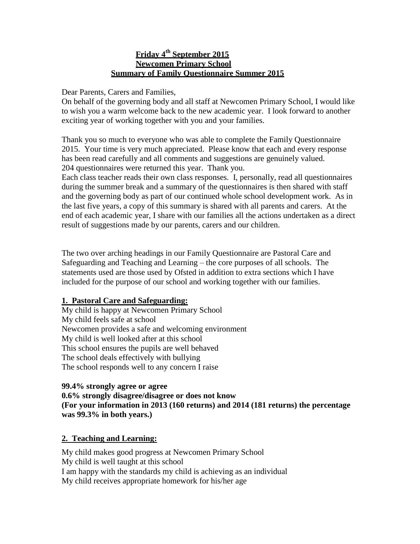#### **Friday 4th September 2015 Newcomen Primary School Summary of Family Questionnaire Summer 2015**

Dear Parents, Carers and Families,

On behalf of the governing body and all staff at Newcomen Primary School, I would like to wish you a warm welcome back to the new academic year. I look forward to another exciting year of working together with you and your families.

Thank you so much to everyone who was able to complete the Family Questionnaire 2015. Your time is very much appreciated. Please know that each and every response has been read carefully and all comments and suggestions are genuinely valued. 204 questionnaires were returned this year. Thank you.

Each class teacher reads their own class responses. I, personally, read all questionnaires during the summer break and a summary of the questionnaires is then shared with staff and the governing body as part of our continued whole school development work. As in the last five years, a copy of this summary is shared with all parents and carers. At the end of each academic year, I share with our families all the actions undertaken as a direct result of suggestions made by our parents, carers and our children.

The two over arching headings in our Family Questionnaire are Pastoral Care and Safeguarding and Teaching and Learning – the core purposes of all schools. The statements used are those used by Ofsted in addition to extra sections which I have included for the purpose of our school and working together with our families.

#### **1. Pastoral Care and Safeguarding:**

My child is happy at Newcomen Primary School My child feels safe at school Newcomen provides a safe and welcoming environment My child is well looked after at this school This school ensures the pupils are well behaved The school deals effectively with bullying The school responds well to any concern I raise

#### **99.4% strongly agree or agree**

**0.6% strongly disagree/disagree or does not know (For your information in 2013 (160 returns) and 2014 (181 returns) the percentage was 99.3% in both years.)**

### **2. Teaching and Learning:**

My child makes good progress at Newcomen Primary School My child is well taught at this school I am happy with the standards my child is achieving as an individual My child receives appropriate homework for his/her age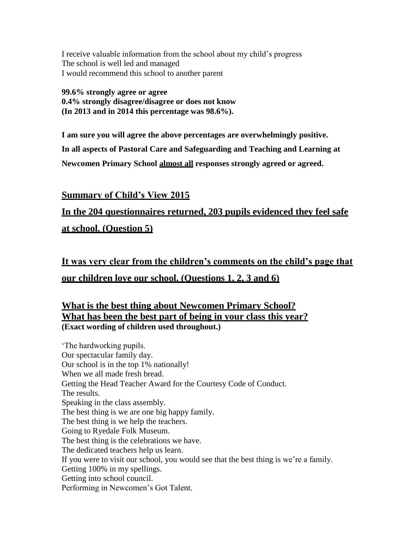I receive valuable information from the school about my child's progress The school is well led and managed I would recommend this school to another parent

**99.6% strongly agree or agree 0.4% strongly disagree/disagree or does not know (In 2013 and in 2014 this percentage was 98.6%).**

**I am sure you will agree the above percentages are overwhelmingly positive. In all aspects of Pastoral Care and Safeguarding and Teaching and Learning at Newcomen Primary School almost all responses strongly agreed or agreed.**

**Summary of Child's View 2015**

# **In the 204 questionnaires returned, 203 pupils evidenced they feel safe at school. (Question 5)**

**It was very clear from the children's comments on the child's page that our children love our school. (Questions 1, 2, 3 and 6)**

# **What is the best thing about Newcomen Primary School? What has been the best part of being in your class this year? (Exact wording of children used throughout.)**

'The hardworking pupils. Our spectacular family day. Our school is in the top 1% nationally! When we all made fresh bread. Getting the Head Teacher Award for the Courtesy Code of Conduct. The results. Speaking in the class assembly. The best thing is we are one big happy family. The best thing is we help the teachers. Going to Ryedale Folk Museum. The best thing is the celebrations we have. The dedicated teachers help us learn. If you were to visit our school, you would see that the best thing is we're a family. Getting 100% in my spellings. Getting into school council. Performing in Newcomen's Got Talent.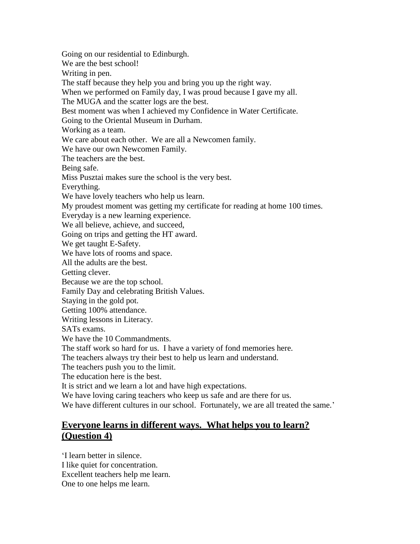Going on our residential to Edinburgh. We are the best school! Writing in pen. The staff because they help you and bring you up the right way. When we performed on Family day, I was proud because I gave my all. The MUGA and the scatter logs are the best. Best moment was when I achieved my Confidence in Water Certificate. Going to the Oriental Museum in Durham. Working as a team. We care about each other. We are all a Newcomen family. We have our own Newcomen Family. The teachers are the best. Being safe. Miss Pusztai makes sure the school is the very best. Everything. We have lovely teachers who help us learn. My proudest moment was getting my certificate for reading at home 100 times. Everyday is a new learning experience. We all believe, achieve, and succeed, Going on trips and getting the HT award. We get taught E-Safety. We have lots of rooms and space. All the adults are the best. Getting clever. Because we are the top school. Family Day and celebrating British Values. Staying in the gold pot. Getting 100% attendance. Writing lessons in Literacy. SATs exams. We have the 10 Commandments. The staff work so hard for us. I have a variety of fond memories here. The teachers always try their best to help us learn and understand. The teachers push you to the limit. The education here is the best. It is strict and we learn a lot and have high expectations. We have loving caring teachers who keep us safe and are there for us. We have different cultures in our school. Fortunately, we are all treated the same.'

## **Everyone learns in different ways. What helps you to learn? (Question 4)**

'I learn better in silence. I like quiet for concentration. Excellent teachers help me learn. One to one helps me learn.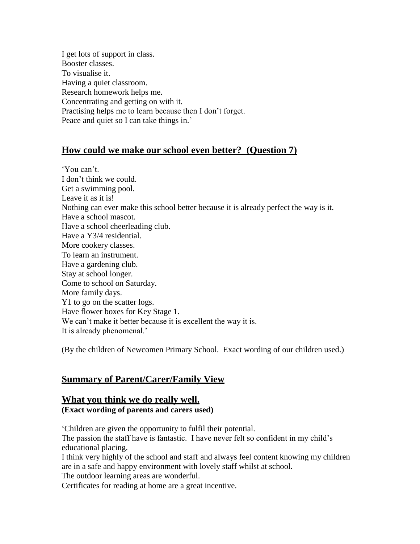I get lots of support in class. Booster classes. To visualise it. Having a quiet classroom. Research homework helps me. Concentrating and getting on with it. Practising helps me to learn because then I don't forget. Peace and quiet so I can take things in.'

# **How could we make our school even better? (Question 7)**

'You can't. I don't think we could. Get a swimming pool. Leave it as it is! Nothing can ever make this school better because it is already perfect the way is it. Have a school mascot. Have a school cheerleading club. Have a Y3/4 residential. More cookery classes. To learn an instrument. Have a gardening club. Stay at school longer. Come to school on Saturday. More family days. Y1 to go on the scatter logs. Have flower boxes for Key Stage 1. We can't make it better because it is excellent the way it is. It is already phenomenal.'

(By the children of Newcomen Primary School. Exact wording of our children used.)

# **Summary of Parent/Carer/Family View**

# **What you think we do really well.**

**(Exact wording of parents and carers used)**

'Children are given the opportunity to fulfil their potential. The passion the staff have is fantastic. I have never felt so confident in my child's educational placing. I think very highly of the school and staff and always feel content knowing my children are in a safe and happy environment with lovely staff whilst at school. The outdoor learning areas are wonderful.

Certificates for reading at home are a great incentive.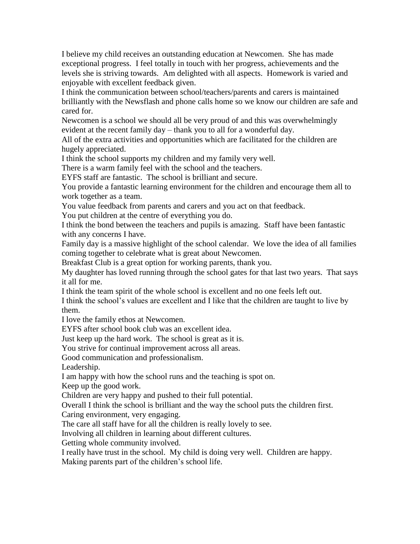I believe my child receives an outstanding education at Newcomen. She has made exceptional progress. I feel totally in touch with her progress, achievements and the levels she is striving towards. Am delighted with all aspects. Homework is varied and enjoyable with excellent feedback given.

I think the communication between school/teachers/parents and carers is maintained brilliantly with the Newsflash and phone calls home so we know our children are safe and cared for.

Newcomen is a school we should all be very proud of and this was overwhelmingly evident at the recent family day – thank you to all for a wonderful day.

All of the extra activities and opportunities which are facilitated for the children are hugely appreciated.

I think the school supports my children and my family very well.

There is a warm family feel with the school and the teachers.

EYFS staff are fantastic. The school is brilliant and secure.

You provide a fantastic learning environment for the children and encourage them all to work together as a team.

You value feedback from parents and carers and you act on that feedback.

You put children at the centre of everything you do.

I think the bond between the teachers and pupils is amazing. Staff have been fantastic with any concerns I have.

Family day is a massive highlight of the school calendar. We love the idea of all families coming together to celebrate what is great about Newcomen.

Breakfast Club is a great option for working parents, thank you.

My daughter has loved running through the school gates for that last two years. That says it all for me.

I think the team spirit of the whole school is excellent and no one feels left out.

I think the school's values are excellent and I like that the children are taught to live by them.

I love the family ethos at Newcomen.

EYFS after school book club was an excellent idea.

Just keep up the hard work. The school is great as it is.

You strive for continual improvement across all areas.

Good communication and professionalism.

Leadership.

I am happy with how the school runs and the teaching is spot on.

Keep up the good work.

Children are very happy and pushed to their full potential.

Overall I think the school is brilliant and the way the school puts the children first.

Caring environment, very engaging.

The care all staff have for all the children is really lovely to see.

Involving all children in learning about different cultures.

Getting whole community involved.

I really have trust in the school. My child is doing very well. Children are happy.

Making parents part of the children's school life.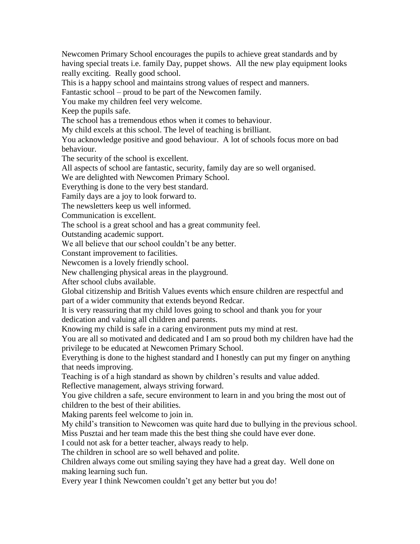Newcomen Primary School encourages the pupils to achieve great standards and by having special treats i.e. family Day, puppet shows. All the new play equipment looks really exciting. Really good school.

This is a happy school and maintains strong values of respect and manners.

Fantastic school – proud to be part of the Newcomen family.

You make my children feel very welcome.

Keep the pupils safe.

The school has a tremendous ethos when it comes to behaviour.

My child excels at this school. The level of teaching is brilliant.

You acknowledge positive and good behaviour. A lot of schools focus more on bad behaviour.

The security of the school is excellent.

All aspects of school are fantastic, security, family day are so well organised.

We are delighted with Newcomen Primary School.

Everything is done to the very best standard.

Family days are a joy to look forward to.

The newsletters keep us well informed.

Communication is excellent.

The school is a great school and has a great community feel.

Outstanding academic support.

We all believe that our school couldn't be any better.

Constant improvement to facilities.

Newcomen is a lovely friendly school.

New challenging physical areas in the playground.

After school clubs available.

Global citizenship and British Values events which ensure children are respectful and part of a wider community that extends beyond Redcar.

It is very reassuring that my child loves going to school and thank you for your dedication and valuing all children and parents.

Knowing my child is safe in a caring environment puts my mind at rest.

You are all so motivated and dedicated and I am so proud both my children have had the privilege to be educated at Newcomen Primary School.

Everything is done to the highest standard and I honestly can put my finger on anything that needs improving.

Teaching is of a high standard as shown by children's results and value added.

Reflective management, always striving forward.

You give children a safe, secure environment to learn in and you bring the most out of children to the best of their abilities.

Making parents feel welcome to join in.

My child's transition to Newcomen was quite hard due to bullying in the previous school. Miss Pusztai and her team made this the best thing she could have ever done.

I could not ask for a better teacher, always ready to help.

The children in school are so well behaved and polite.

Children always come out smiling saying they have had a great day. Well done on making learning such fun.

Every year I think Newcomen couldn't get any better but you do!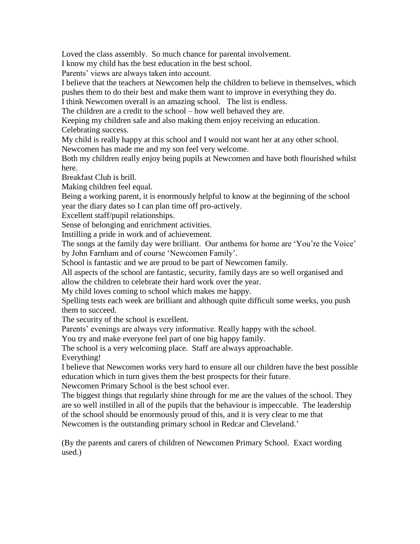Loved the class assembly. So much chance for parental involvement.

I know my child has the best education in the best school.

Parents' views are always taken into account.

I believe that the teachers at Newcomen help the children to believe in themselves, which pushes them to do their best and make them want to improve in everything they do.

I think Newcomen overall is an amazing school. The list is endless.

The children are a credit to the school – how well behaved they are.

Keeping my children safe and also making them enjoy receiving an education. Celebrating success.

My child is really happy at this school and I would not want her at any other school. Newcomen has made me and my son feel very welcome.

Both my children really enjoy being pupils at Newcomen and have both flourished whilst here.

Breakfast Club is brill.

Making children feel equal.

Being a working parent, it is enormously helpful to know at the beginning of the school year the diary dates so I can plan time off pro-actively.

Excellent staff/pupil relationships.

Sense of belonging and enrichment activities.

Instilling a pride in work and of achievement.

The songs at the family day were brilliant. Our anthems for home are 'You're the Voice' by John Farnham and of course 'Newcomen Family'.

School is fantastic and we are proud to be part of Newcomen family.

All aspects of the school are fantastic, security, family days are so well organised and allow the children to celebrate their hard work over the year.

My child loves coming to school which makes me happy.

Spelling tests each week are brilliant and although quite difficult some weeks, you push them to succeed.

The security of the school is excellent.

Parents' evenings are always very informative. Really happy with the school.

You try and make everyone feel part of one big happy family.

The school is a very welcoming place. Staff are always approachable.

Everything!

I believe that Newcomen works very hard to ensure all our children have the best possible education which in turn gives them the best prospects for their future.

Newcomen Primary School is the best school ever.

The biggest things that regularly shine through for me are the values of the school. They are so well instilled in all of the pupils that the behaviour is impeccable. The leadership of the school should be enormously proud of this, and it is very clear to me that Newcomen is the outstanding primary school in Redcar and Cleveland.'

(By the parents and carers of children of Newcomen Primary School. Exact wording used.)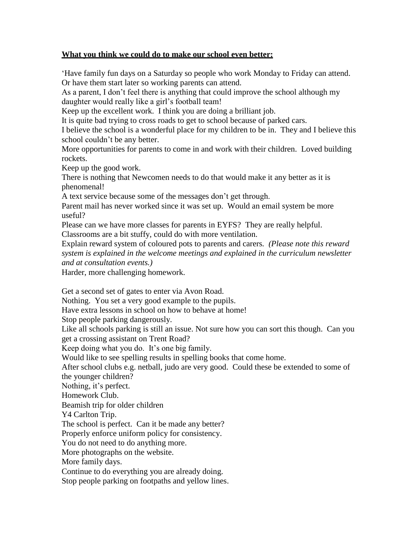#### **What you think we could do to make our school even better:**

'Have family fun days on a Saturday so people who work Monday to Friday can attend. Or have them start later so working parents can attend.

As a parent, I don't feel there is anything that could improve the school although my daughter would really like a girl's football team!

Keep up the excellent work. I think you are doing a brilliant job.

It is quite bad trying to cross roads to get to school because of parked cars.

I believe the school is a wonderful place for my children to be in. They and I believe this school couldn't be any better.

More opportunities for parents to come in and work with their children. Loved building rockets.

Keep up the good work.

There is nothing that Newcomen needs to do that would make it any better as it is phenomenal!

A text service because some of the messages don't get through.

Parent mail has never worked since it was set up. Would an email system be more useful?

Please can we have more classes for parents in EYFS? They are really helpful. Classrooms are a bit stuffy, could do with more ventilation.

Explain reward system of coloured pots to parents and carers*. (Please note this reward system is explained in the welcome meetings and explained in the curriculum newsletter and at consultation events.)*

Harder, more challenging homework.

Get a second set of gates to enter via Avon Road.

Nothing. You set a very good example to the pupils.

Have extra lessons in school on how to behave at home!

Stop people parking dangerously.

Like all schools parking is still an issue. Not sure how you can sort this though. Can you get a crossing assistant on Trent Road?

Keep doing what you do. It's one big family.

Would like to see spelling results in spelling books that come home.

After school clubs e.g. netball, judo are very good. Could these be extended to some of the younger children?

Nothing, it's perfect.

Homework Club.

Beamish trip for older children

Y4 Carlton Trip.

The school is perfect. Can it be made any better?

Properly enforce uniform policy for consistency.

You do not need to do anything more.

More photographs on the website.

More family days.

Continue to do everything you are already doing.

Stop people parking on footpaths and yellow lines.